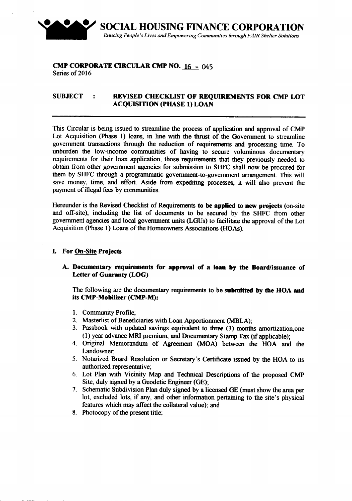

### CMP CORPORATE CIRCULAR CMP NO. 16 - 045 Series of 2016

# SUBJECT : REVISED CHECKLIST OF REQUIREMENTS FOR CMP LOT ACQUISITION (PHASE 1)LOAN

This Circular is being issued to streamline the process of application and approval of CMP Lot Acquisition (Phase 1) loans, in line with the thrust of the Government to streamline government transactions through the reduction of requirements and processing time. To unburden the low-income communities of having to secure voluminous documentary requirements for their loan application, those requirements that they previously needed to obtain from other government agencies for submission to SHFC shall now be procured for them by SHFC through a programmatic government-to-government arrangement. This will save money, time, and effort. Aside from expediting processes, it will also prevent the payment of illegal fees by communities.

Hereunder is the Revised Checklist of Requirements to be applied to new projects (on-site and off-site), including the list of documents to be secured by the SHFC from other government agencies and local government units (LGUs) to facilitate the approval of the Lot Acquisition (Phase 1) Loans of the Homeowners Associations (HOAs).

# L For On-Site Projects

### A. Documentary requirements for approval of a loan by the Board/issuance of Letter of Guaranty (LOG)

The following are the documentary requirements to be submitted by the HOA and its CMP-Mobilizer (CMP-M):

- 1. Community Profile;
- 2. Masterlist of Beneficiaries with Loan Apportionment (MBLA);
- 3. Passbook with updated savings equivalent to three (3) months amortization,one (1) year advance MRI premium, and Documentary Stamp Tax (if applicable);
- 4. Original Memorandum of Agreement (MOA) between the HOA and the Landowner;
- 5. Notarized Board Resolution or Secretary's Certificate issued by the HOA to its authorized representative;
- 6. Lot Plan with Vicinity Map and Technical Descriptions of the proposed CMP Site, duly signed by a Geodetic Engineer (GE);
- 7. Schematic Subdivision Plan duly signed by a licensed GE (must show the area per lot, excluded lots, if any, and other information pertaining to the site's physical features which may affect the collateral value); and
- 8. Photocopy of the present title: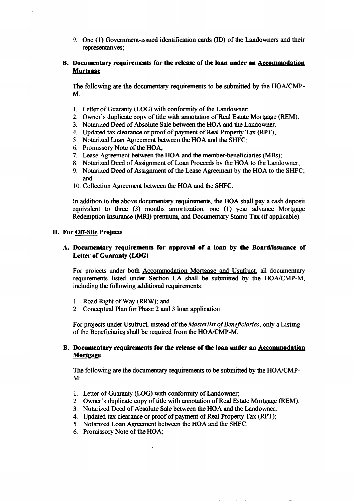9. One (1) Government-issued identification cards (ID) of the Landowners and their representatives;

## B. Documentary requirements for the release of the loan under an Accommodation **Mortgage**

The following are the documentary requirements to be submitted by the HONCMP-M:

- 1. Letter of Guaranty (LOG) with conformity of the Landowner;
- 2. Owner's duplicate copy of title with annotation of Real Estate Mortgage (REM);
- 3. Notarized Deed of Absolute Sale between the HOA and the Landowner:
- 4. Updated tax clearance or proof of payment of Real Property Tax (RPT);
- 5. Notarized Loan Agreement between the HOA and the SHFC;
- 6. Promissory Note of the HOA;
- 7. Lease Agreement between the HOA and the member-beneficiaries (MBs);
- 8. Notarized Deed of Assignment of Loan Proceeds by the HOA to the Landowner;
- 9. Notarized Deed of Assignment of the Lease Agreement by the HOA to the SHFC; and
- 10. Collection Agreement between the HOA and the SHFC.

In addition to the above documentary requirements, the HOA shall pay a cash deposit equivalent to three (3) months amortization, one (1) year advance Mortgage Redemption Insurance (MRI) premium, and Documentary Stamp Tax (if applicable).

#### II. For Off-Site Projects

### A. Documentary requirements for approval of a loan by the Board/issuance of Letter of Guaranty (LOG)

For projects under both Accommodation Mortgage and Usufruct, all documentary requirements listed under Section I.A shall be submitted by the HONCMP-M, including the following additional requirements:

- 1. Road Right of Way (RRW); and
- 2. Conceptual Plan for Phase 2 and 3 loan application

For projects under Usufruct, instead of the *Masterlist of Beneficiaries*, only a Listing of the Beneficiaries shall be required from the HONCMP-M.

### B. Documentary requirements for the release of the loan under an Accommodation **Mortgage**

The following are the documentary requirements to be submitted by the HONCMP-M:

- 1. Letter of Guaranty (LOG) with conformity of Landowner;
- 2. Owner's duplicate copy of title with annotation of Real Estate Mortgage (REM);
- 3. Notarized Deed of Absolute Sale between the HOA and the Landowner:
- 4. Updated tax clearance or proof of payment of Real Property Tax (RPT);
- 5. Notarized Loan Agreement between the HOA and the SHFC;
- 6. Promissory Note of the HOA;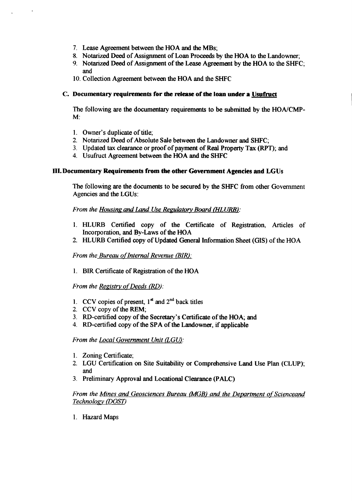- 7. Lease Agreement between the HOA and the MBs;
- 8. Notarized Deed of Assignment of Loan Proceeds by the HOA to the Landowner;
- 9. Notarized Deed of Assignment of the Lease Agreement by the HOA to the SHFC; and
- 10. Collection Agreement between the HOA and the SHFC

### c. Documentary requirements for the release of the loan under a Usufruct

The following are the documentary requirements to be submitted by the HOA/CMP-M:

- 1. Owner's duplicate of title;
- 2. Notarized Deed of Absolute Sale between the Landowner and SHFC;
- 3. Updated tax clearance or proof of payment of Real Property Tax (RPT); and
- 4. Usufruct Agreement between the HOA and the SHFC

## III. Documentary Requirements from the other Government Agencies and LGUs

The following are the documents to be secured by the SHFC from other Government Agencies and the LGUs:

## *From the Housing and Land Use Regulatory Board (HLURB):*

- 1. HLURB Certified copy of the Certificate of Registration. Articles of Incorporation, and By-Laws of the HOA
- 2. HLURB Certified copy of Updated General Information Sheet (GIS) of the HOA

*From the Bureau of Internal Revenue (BIR):* 

1. BIR Certificate of Registration of the HOA

*From the Registry of Deeds (RD):* 

- 1. CCV copies of present,  $1^{st}$  and  $2^{nd}$  back titles
- 2. CCV copy of the REM;
- 3. RD-certified copy of the Secretary's Certificate of the HOA; and
- 4. RD-certified copy of the SPA of the Landowner, if applicable

*From the Local Government Unit (LGU):*

- 1. Zoning Certificate;
- 2. LGU Certification on Site Suitability or Comprehensive Land Use Plan (CLUP); and
- 3. Preliminary Approval and Locational Clearance (PALC)

# *From the Mines and Geosciences Bureau (MGBJ and the Department of SCienceand Technology (POST)*

1. Hazard Maps